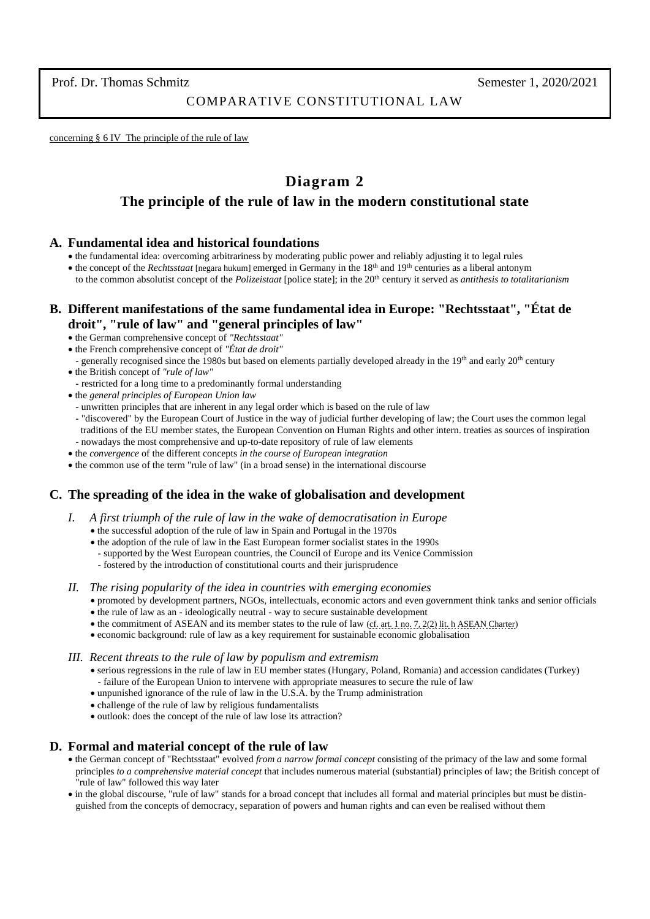### COMPARATIVE CONSTITUTIONAL LAW

concerning § 6 IV The principle of the rule of law

# **Diagram 2**

## **The principle of the rule of law in the modern constitutional state**

### **A. Fundamental idea and historical foundations**

- the fundamental idea: overcoming arbitrariness by moderating public power and reliably adjusting it to legal rules
- the concept of the *Rechtsstaat* [negara hukum] emerged in Germany in the 18th and 19th centuries as a liberal antonym to the common absolutist concept of the *Polizeistaat* [police state]; in the 20th century it served as *antithesis to totalitarianism*

## **B. Different manifestations of the same fundamental idea in Europe: "Rechtsstaat", "État de droit", "rule of law" and "general principles of law"**

- the German comprehensive concept of *"Rechtsstaat"*
- the French comprehensive concept of *"État de droit"*
- generally recognised since the 1980s but based on elements partially developed already in the  $19<sup>th</sup>$  and early  $20<sup>th</sup>$  century
- the British concept of *"rule of law"*
- restricted for a long time to a predominantly formal understanding
- the *general principles of European Union law*
- unwritten principles that are inherent in any legal order which is based on the rule of law
- "discovered" by the European Court of Justice in the way of judicial further developing of law; the Court uses the common legal traditions of the EU member states, the European Convention on Human Rights and other intern. treaties as sources of inspiration - nowadays the most comprehensive and up-to-date repository of rule of law elements
- the *convergence* of the different concepts *in the course of European integration*
- the common use of the term "rule of law" (in a broad sense) in the international discourse

### **C. The spreading of the idea in the wake of globalisation and development**

- *I. A first triumph of the rule of law in the wake of democratisation in Europe*
	- the successful adoption of the rule of law in Spain and Portugal in the 1970s
	- the adoption of the rule of law in the East European former socialist states in the 1990s
		- supported by the West European countries, the Council of Europe and its Venice Commission
	- fostered by the introduction of constitutional courts and their jurisprudence
- *II. The rising popularity of the idea in countries with emerging economies*
	- promoted by development partners, NGOs, intellectuals, economic actors and even government think tanks and senior officials • the rule of law as an - ideologically neutral - way to secure sustainable development
	- the commitment of ASEAN and its member states to the rule of law [\(cf. art. 1 no. 7, 2\(2\) lit. h ASEAN Charter\)](https://asean.org/storage/2012/05/The-ASEAN-Charter-26th-Reprint.pdf)
	- economic background: rule of law as a key requirement for sustainable economic globalisation
- *III. Recent threats to the rule of law by populism and extremism*
	- serious regressions in the rule of law in EU member states (Hungary, Poland, Romania) and accession candidates (Turkey) - failure of the European Union to intervene with appropriate measures to secure the rule of law
	- unpunished ignorance of the rule of law in the U.S.A. by the Trump administration
	- challenge of the rule of law by religious fundamentalists
	- outlook: does the concept of the rule of law lose its attraction?

### **D. Formal and material concept of the rule of law**

- the German concept of "Rechtsstaat" evolved *from a narrow formal concept* consisting of the primacy of the law and some formal principles *to a comprehensive material concept* that includes numerous material (substantial) principles of law; the British concept of "rule of law" followed this way later
- in the global discourse, "rule of law" stands for a broad concept that includes all formal and material principles but must be distin guished from the concepts of democracy, separation of powers and human rights and can even be realised without them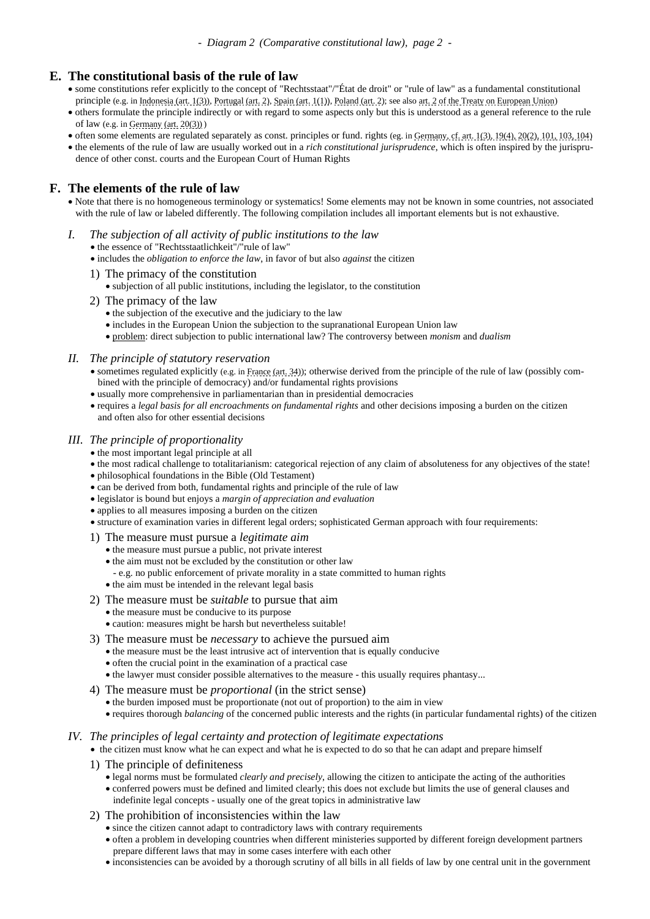### **E. The constitutional basis of the rule of law**

- some constitutions refer explicitly to the concept of "Rechtsstaat"/"État de droit" or "rule of law" as a fundamental constitutional principle (e.g. in [Indonesia \(art. 1\(3\)\),](http://www.dpr.go.id/jdih/uu1945) [Portugal \(art. 2\),](http://www.en.parlamento.pt/Legislation/CRP/Constitution7th.pdf) [Spain \(art. 1\(1\)\),](https://www.tribunalconstitucional.es/es/tribunal/normativa/Normativa/ConstitucionINGLES.pdf) [Poland \(art. 2\);](http://trybunal.gov.pl/en/about-the-tribunal/legal-basis/the-constitution-of-the-republic-of-poland/) see also art. [2 of the Treaty on European Union\)](https://eur-lex.europa.eu/legal-content/EN/TXT/?uri=uriserv:OJ.C_.2016.202.01.0001.01.ENG&toc=OJ:C:2016:202:FULL#C_2016202EN.01001301)
- others formulate the principle indirectly or with regard to some aspects only but this is understood as a general reference to the rule of law (e.g. in [Germany \(art. 20\(3\)\)](https://www.gesetze-im-internet.de/englisch_gg/englisch_gg.html#p0114) )
- often some elements are regulated separately as const. principles or fund. rights (eg. in Germany, cf. [art. 1\(3\), 19\(4\), 20\(2\), 101, 103, 104\)](https://www.gesetze-im-internet.de/englisch_gg/index.html#gl_p0119)
- the elements of the rule of law are usually worked out in a *rich constitutional jurisprudence*, which is often inspired by the jurispru dence of other const. courts and the European Court of Human Rights

## **F. The elements of the rule of law**

- Note that there is no homogeneous terminology or systematics! Some elements may not be known in some countries, not associated with the rule of law or labeled differently. The following compilation includes all important elements but is not exhaustive.
- *I. The subjection of all activity of public institutions to the law*
	- the essence of "Rechtsstaatlichkeit"/"rule of law"
	- includes the *obligation to enforce the law*, in favor of but also *against* the citizen
	- 1) The primacy of the constitution
		- subjection of all public institutions, including the legislator, to the constitution
	- 2) The primacy of the law
		- the subjection of the executive and the judiciary to the law
		- includes in the European Union the subjection to the supranational European Union law
		- problem: direct subjection to public international law? The controversy between *monism* and *dualism*

### *II. The principle of statutory reservation*

- sometimes regulated explicitly (e.g. i[n France \(art. 34\)\)](http://www2.assemblee-nationale.fr/langues/welcome-to-the-english-website-of-the-french-national-assembly#Title5); otherwise derived from the principle of the rule of law (possibly combined with the principle of democracy) and/or fundamental rights provisions
- usually more comprehensive in parliamentarian than in presidential democracies
- requires a *legal basis for all encroachments on fundamental rights* and other decisions imposing a burden on the citizen and often also for other essential decisions

### *III. The principle of proportionality*

- the most important legal principle at all
- the most radical challenge to totalitarianism: categorical rejection of any claim of absoluteness for any objectives of the state!
- philosophical foundations in the Bible (Old Testament)
- can be derived from both, fundamental rights and principle of the rule of law
- legislator is bound but enjoys a *margin of appreciation and evaluation*
- applies to all measures imposing a burden on the citizen
- structure of examination varies in different legal orders; sophisticated German approach with four requirements:
- 1) The measure must pursue a *legitimate aim*
	- the measure must pursue a public, not private interest
	- the aim must not be excluded by the constitution or other law
	- e.g. no public enforcement of private morality in a state committed to human rights
	- the aim must be intended in the relevant legal basis
- 2) The measure must be *suitable* to pursue that aim
	- the measure must be conducive to its purpose
	- caution: measures might be harsh but nevertheless suitable!
- 3) The measure must be *necessary* to achieve the pursued aim
	- the measure must be the least intrusive act of intervention that is equally conducive
	- often the crucial point in the examination of a practical case
	- the lawyer must consider possible alternatives to the measure this usually requires phantasy...
- 4) The measure must be *proportional* (in the strict sense)
	- the burden imposed must be proportionate (not out of proportion) to the aim in view
	- requires thorough *balancing* of the concerned public interests and the rights (in particular fundamental rights) of the citizen

### *IV. The principles of legal certainty and protection of legitimate expectations*

- the citizen must know what he can expect and what he is expected to do so that he can adapt and prepare himself
- 1) The principle of definiteness
	- legal norms must be formulated *clearly and precisely*, allowing the citizen to anticipate the acting of the authorities • conferred powers must be defined and limited clearly; this does not exclude but limits the use of general clauses and indefinite legal concepts - usually one of the great topics in administrative law
- 2) The prohibition of inconsistencies within the law
	- since the citizen cannot adapt to contradictory laws with contrary requirements
	- often a problem in developing countries when different ministeries supported by different foreign development partners prepare different laws that may in some cases interfere with each other
	- inconsistencies can be avoided by a thorough scrutiny of all bills in all fields of law by one central unit in the government